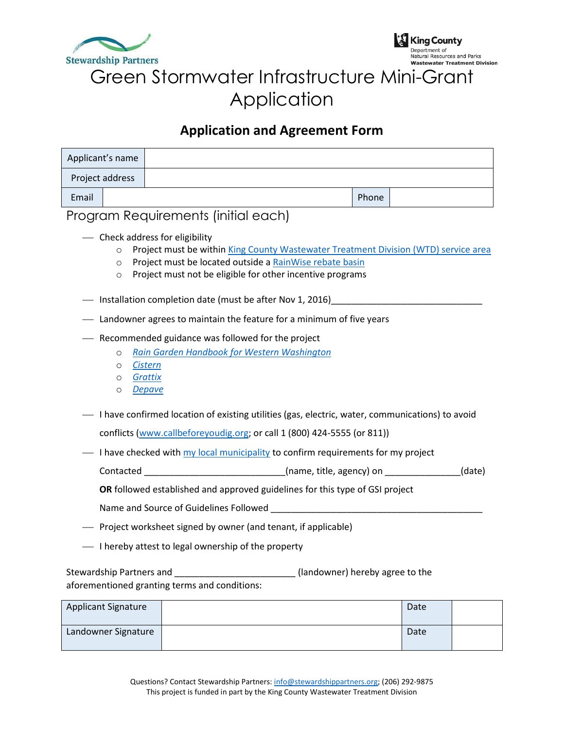



# Green Stormwater Infrastructure Mini-Grant Application

### **Application and Agreement Form**

| Applicant's name |  |       |  |
|------------------|--|-------|--|
| Project address  |  |       |  |
| Email            |  | Phone |  |

#### Program Requirements (initial each)

- Check address for eligibility
	- o Project must be within [King County Wastewater Treatment Division \(WTD\) service area](http://www.kingcounty.gov/environment/wtd/About/SewerAgencies.aspx)
	- o Project must be located outside a [RainWise rebate basin](http://www.700milliongallons.org/rainwise/eligibility-map/)
	- o Project must not be eligible for other incentive programs
- Installation completion date (must be after Nov 1, 2016)
- Landowner agrees to maintain the feature for a minimum of five years
- ⎯ Recommended guidance was followed for the project
	- o *[Rain Garden Handbook for Western Washington](https://fortress.wa.gov/ecy/publications/publications/1310027.pdf)*
	- o *[Cistern](https://700milliongallons.org/wp-content/uploads/2020/08/Installing-cisterns-in-your-garden.pdf)*
	- o *[Grattix](http://www.portvanusa.com/assets/Grattix-how-to-flyer.pdf)*
	- o *[Depave](http://www.700milliongallons.org/wp-content/uploads/2015/04/Reducing-pavement-and-permeable-paving-options.pdf)*
- ⎯ I have confirmed location of existing utilities (gas, electric, water, communications) to avoid conflicts [\(www.callbeforeyoudig.org;](http://www.callbeforeyoudig.org/) or call 1 (800) 424-5555 (or 811))
- $\overline{\phantom{a}}$  I have checked with [my local municipality](http://www.kingcounty.gov/environment/wtd/About/SewerAgencies.aspx) to confirm requirements for my project

Contacted \_\_\_\_\_\_\_\_\_\_\_\_\_\_\_\_\_\_\_\_\_\_\_\_\_\_\_\_\_\_\_(name, title, agency) on \_\_\_\_\_\_\_\_\_\_\_\_\_\_(date)

**OR** followed established and approved guidelines for this type of GSI project

- Name and Source of Guidelines Followed **Example 20**
- Project worksheet signed by owner (and tenant, if applicable)
- $\overline{\phantom{a}}$  I hereby attest to legal ownership of the property

Stewardship Partners and \_\_\_\_\_\_\_\_\_\_\_\_\_\_\_\_\_\_\_\_\_\_\_\_\_\_\_\_\_(landowner) hereby agree to the aforementioned granting terms and conditions:

| <b>Applicant Signature</b> | Date |  |
|----------------------------|------|--|
| Landowner Signature        | Date |  |
|                            |      |  |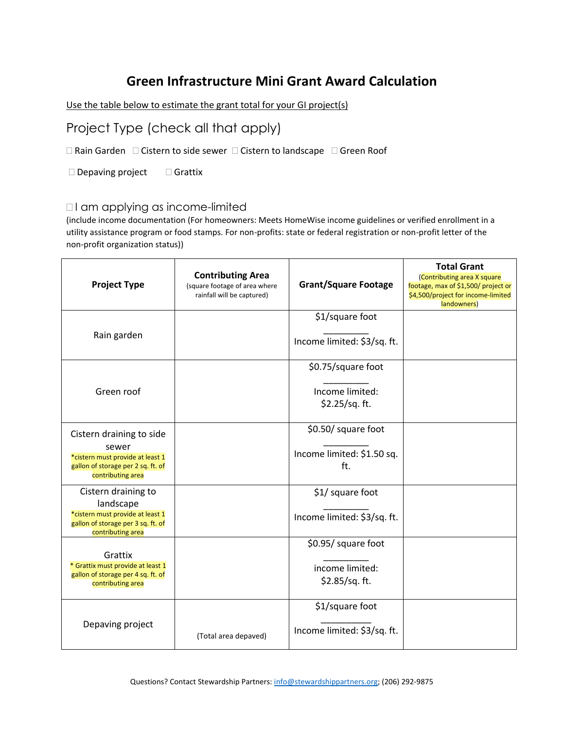### **Green Infrastructure Mini Grant Award Calculation**

Use the table below to estimate the grant total for your GI project(s)

Project Type (check all that apply)

 $\Box$  Rain Garden  $\Box$  Cistern to side sewer  $\Box$  Cistern to landscape  $\Box$  Green Roof

 $\square$  Depaving project  $\square$  Grattix

#### □I am applying as income-limited

(include income documentation (For homeowners: Meets HomeWise income guidelines or verified enrollment in a utility assistance program or food stamps. For non-profits: state or federal registration or non-profit letter of the non-profit organization status))

| <b>Project Type</b>                                                                                                              | <b>Contributing Area</b><br>(square footage of area where<br>rainfall will be captured) | <b>Grant/Square Footage</b>                              | <b>Total Grant</b><br>(Contributing area X square<br>footage, max of \$1,500/ project or<br>\$4,500/project for income-limited<br>landowners) |
|----------------------------------------------------------------------------------------------------------------------------------|-----------------------------------------------------------------------------------------|----------------------------------------------------------|-----------------------------------------------------------------------------------------------------------------------------------------------|
| Rain garden                                                                                                                      |                                                                                         | \$1/square foot<br>Income limited: \$3/sq. ft.           |                                                                                                                                               |
| Green roof                                                                                                                       |                                                                                         | \$0.75/square foot<br>Income limited:<br>\$2.25/sq. ft.  |                                                                                                                                               |
| Cistern draining to side<br>sewer<br>*cistern must provide at least 1<br>gallon of storage per 2 sq. ft. of<br>contributing area |                                                                                         | \$0.50/ square foot<br>Income limited: \$1.50 sq.<br>ft. |                                                                                                                                               |
| Cistern draining to<br>landscape<br>*cistern must provide at least 1<br>gallon of storage per 3 sq. ft. of<br>contributing area  |                                                                                         | \$1/ square foot<br>Income limited: \$3/sq. ft.          |                                                                                                                                               |
| Grattix<br>* Grattix must provide at least 1<br>gallon of storage per 4 sq. ft. of<br>contributing area                          |                                                                                         | \$0.95/ square foot<br>income limited:<br>\$2.85/sq. ft. |                                                                                                                                               |
| Depaving project                                                                                                                 | (Total area depaved)                                                                    | \$1/square foot<br>Income limited: \$3/sq. ft.           |                                                                                                                                               |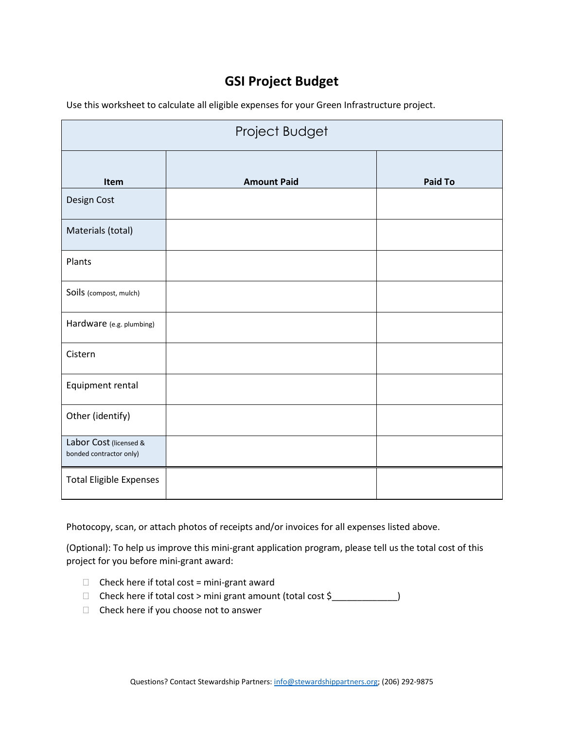# **GSI Project Budget**

Use this worksheet to calculate all eligible expenses for your Green Infrastructure project.

| Project Budget                                    |                    |                |  |
|---------------------------------------------------|--------------------|----------------|--|
| Item                                              | <b>Amount Paid</b> | <b>Paid To</b> |  |
| Design Cost                                       |                    |                |  |
| Materials (total)                                 |                    |                |  |
| Plants                                            |                    |                |  |
| Soils (compost, mulch)                            |                    |                |  |
| Hardware (e.g. plumbing)                          |                    |                |  |
| Cistern                                           |                    |                |  |
| Equipment rental                                  |                    |                |  |
| Other (identify)                                  |                    |                |  |
| Labor Cost (licensed &<br>bonded contractor only) |                    |                |  |
| <b>Total Eligible Expenses</b>                    |                    |                |  |

Photocopy, scan, or attach photos of receipts and/or invoices for all expenses listed above.

(Optional): To help us improve this mini-grant application program, please tell us the total cost of this project for you before mini-grant award:

- $\Box$  Check here if total cost = mini-grant award
- □ Check here if total cost > mini grant amount (total cost \$\_\_\_\_\_\_\_\_\_\_\_\_\_)
- $\Box$  Check here if you choose not to answer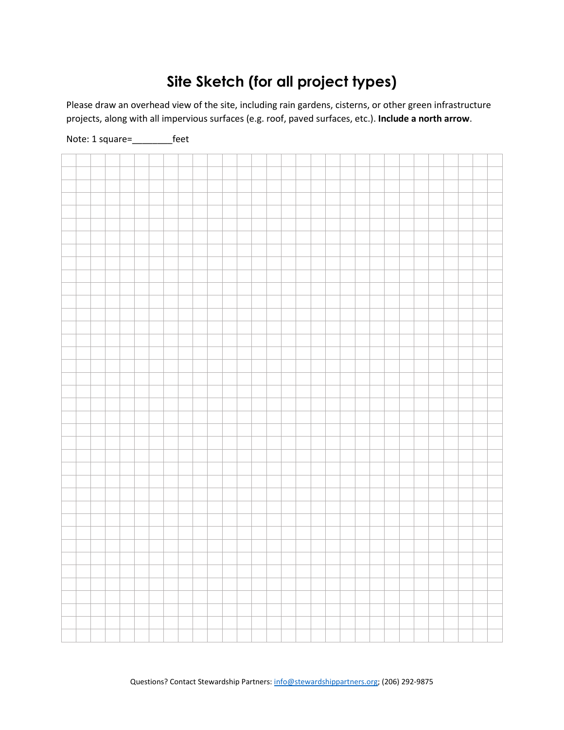# **Site Sketch (for all project types)**

Please draw an overhead view of the site, including rain gardens, cisterns, or other green infrastructure projects, along with all impervious surfaces (e.g. roof, paved surfaces, etc.). **Include a north arrow**.



Note: 1 square=\_\_\_\_\_\_\_\_feet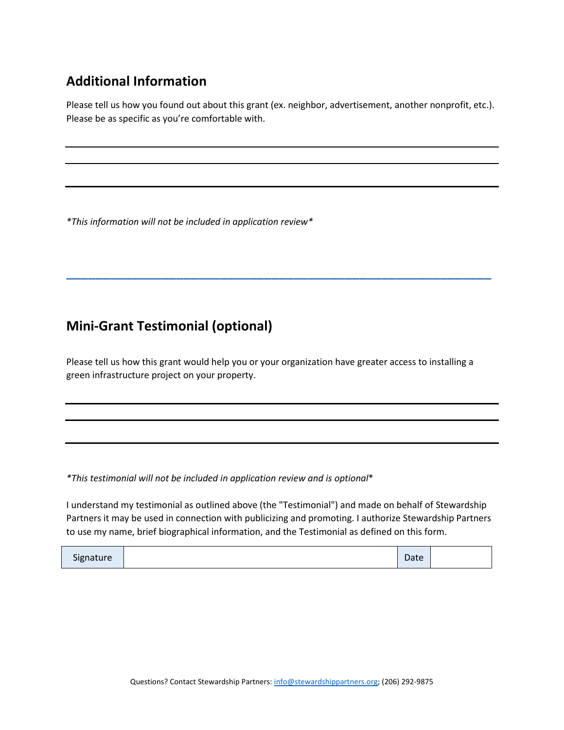# **Additional Information**

Please tell us how you found out about this grant (ex. neighbor, advertisement, another nonprofit, etc.). Please be as specific as you're comfortable with.

*\*This information will not be included in application review\**

### **Mini-Grant Testimonial (optional)**

Please tell us how this grant would help you or your organization have greater access to installing a green infrastructure project on your property.

**\_\_\_\_\_\_\_\_\_\_\_\_\_\_\_\_\_\_\_\_\_\_\_\_\_\_\_\_\_\_\_\_\_\_\_\_\_\_\_\_\_\_\_\_\_\_\_\_\_\_\_\_\_\_\_\_\_\_**

*\*This testimonial will not be included in application review and is optional*\*

I understand my testimonial as outlined above (the "Testimonial") and made on behalf of Stewardship Partners it may be used in connection with publicizing and promoting. I authorize Stewardship Partners to use my name, brief biographical information, and the Testimonial as defined on this form.

| Signature | Date |  |
|-----------|------|--|
|-----------|------|--|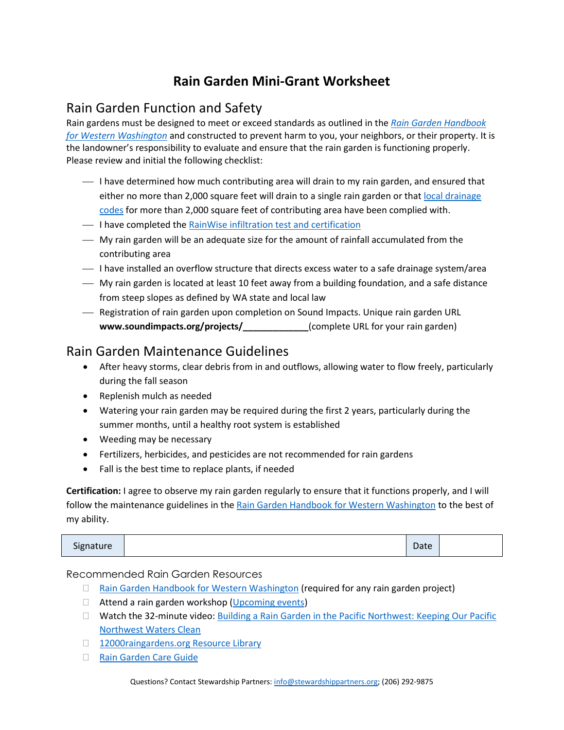# **Rain Garden Mini-Grant Worksheet**

### Rain Garden Function and Safety

Rain gardens must be designed to meet or exceed standards as outlined in the *[Rain Garden Handbook](https://fortress.wa.gov/ecy/publications/publications/1310027.pdf)  [for Western Washington](https://fortress.wa.gov/ecy/publications/publications/1310027.pdf)* and constructed to prevent harm to you, your neighbors, or their property. It is the landowner's responsibility to evaluate and ensure that the rain garden is functioning properly. Please review and initial the following checklist:

- $\overline{\phantom{a}}$  I have determined how much contributing area will drain to my rain garden, and ensured that either no more than 2,000 square feet will drain to a single rain garden or that local drainage [codes](http://mrsc.org/Home/Research-Tools/Washington-City-Codes.aspx) for more than 2,000 square feet of contributing area have been complied with.
- $\overline{\phantom{a}}$  I have completed the [RainWise infiltration test and certification](http://www.seattle.gov/util/cs/groups/public/@spu/@usm/documents/webcontent/02_008090.pdf)
- ⎯ My rain garden will be an adequate size for the amount of rainfall accumulated from the contributing area
- $-$  I have installed an overflow structure that directs excess water to a safe drainage system/area
- ⎯ My rain garden is located at least 10 feet away from a building foundation, and a safe distance from steep slopes as defined by WA state and local law
- Registration of rain garden upon completion on Sound Impacts. Unique rain garden URL **www.soundimpacts.org/projects/\_\_\_\_\_\_\_\_\_\_\_\_\_**(complete URL for your rain garden)

#### Rain Garden Maintenance Guidelines

- After heavy storms, clear debris from in and outflows, allowing water to flow freely, particularly during the fall season
- Replenish mulch as needed
- Watering your rain garden may be required during the first 2 years, particularly during the summer months, until a healthy root system is established
- Weeding may be necessary
- Fertilizers, herbicides, and pesticides are not recommended for rain gardens
- Fall is the best time to replace plants, if needed

**Certification:** I agree to observe my rain garden regularly to ensure that it functions properly, and I will follow the maintenance guidelines in the [Rain Garden Handbook for Western Washington](https://fortress.wa.gov/ecy/publications/publications/1310027.pdf) to the best of my ability.

| Signature | Date |  |
|-----------|------|--|
|-----------|------|--|

#### Recommended Rain Garden Resources

- □ [Rain Garden Handbook for Western Washington](https://fortress.wa.gov/ecy/publications/publications/1310027.pdf) (required for any rain garden project)
- □ Attend a rain garden workshop [\(Upcoming events\)](http://www.stewardshippartners.org/events/)
- □ Watch the 32-minute video: Building a Rain Garden in the Pacific Northwest: Keeping Our Pacific [Northwest Waters Clean](https://www.youtube.com/watch?v=9Kti4HJ45BM)
- □ [12000raingardens.org](http://www.12000raingardens.org/resources/) Resource Library
- □ Rain Garde[n Care Guide](http://www.12000raingardens.org/wp-content/uploads/2013/03/RM_RAIN_BRO_091913.pdf)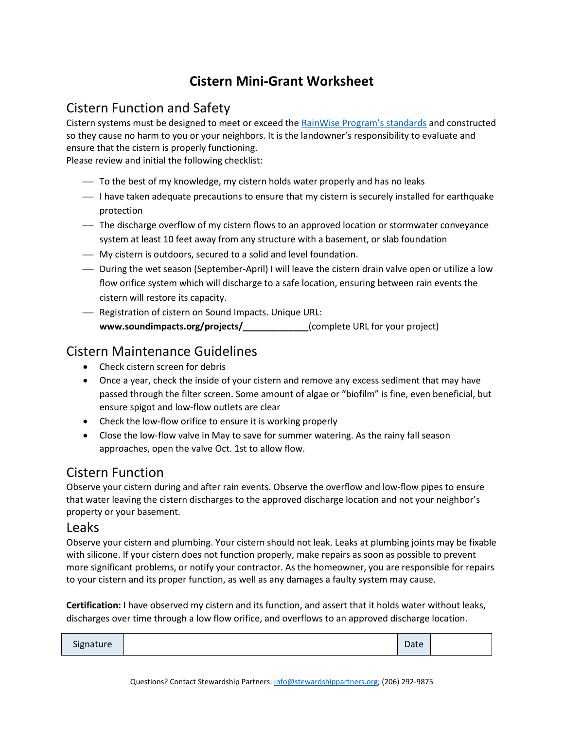# **Cistern Mini-Grant Worksheet**

#### Cistern Function and Safety

Cistern systems must be designed to meet or exceed the [RainWise Program's standards](https://700milliongallons.org/wp-content/uploads/2020/08/Installing-cisterns-in-your-garden.pdf) and constructed so they cause no harm to you or your neighbors. It is the landowner's responsibility to evaluate and ensure that the cistern is properly functioning.

Please review and initial the following checklist:

- $-$  To the best of my knowledge, my cistern holds water properly and has no leaks
- $-$  I have taken adequate precautions to ensure that my cistern is securely installed for earthquake protection
- ⎯ The discharge overflow of my cistern flows to an approved location or stormwater conveyance system at least 10 feet away from any structure with a basement, or slab foundation
- ⎯ My cistern is outdoors, secured to a solid and level foundation.
- ⎯ During the wet season (September-April) I will leave the cistern drain valve open or utilize a low flow orifice system which will discharge to a safe location, ensuring between rain events the cistern will restore its capacity.
- Registration of cistern on Sound Impacts. Unique URL: **www.soundimpacts.org/projects/\_\_\_\_\_\_\_\_\_\_\_\_\_**(complete URL for your project)

#### Cistern Maintenance Guidelines

- Check cistern screen for debris
- Once a year, check the inside of your cistern and remove any excess sediment that may have passed through the filter screen. Some amount of algae or "biofilm" is fine, even beneficial, but ensure spigot and low-flow outlets are clear
- Check the low-flow orifice to ensure it is working properly
- Close the low-flow valve in May to save for summer watering. As the rainy fall season approaches, open the valve Oct. 1st to allow flow.

#### Cistern Function

Observe your cistern during and after rain events. Observe the overflow and low-flow pipes to ensure that water leaving the cistern discharges to the approved discharge location and not your neighbor's property or your basement.

#### Leaks

Observe your cistern and plumbing. Your cistern should not leak. Leaks at plumbing joints may be fixable with silicone. If your cistern does not function properly, make repairs as soon as possible to prevent more significant problems, or notify your contractor. As the homeowner, you are responsible for repairs to your cistern and its proper function, as well as any damages a faulty system may cause.

**Certification:** I have observed my cistern and its function, and assert that it holds water without leaks, discharges over time through a low flow orifice, and overflows to an approved discharge location.

| Signature |  | Date |  |
|-----------|--|------|--|
|-----------|--|------|--|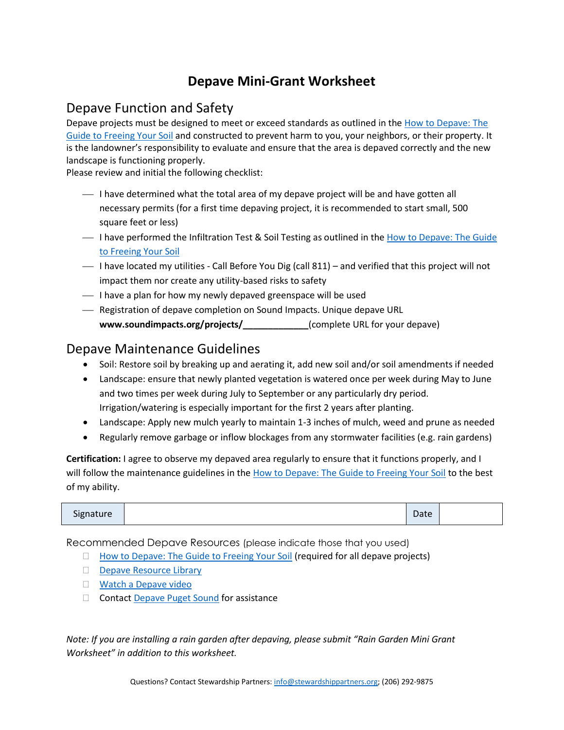### **Depave Mini-Grant Worksheet**

#### Depave Function and Safety

Depave projects must be designed to meet or exceed standards as outlined in the [How to Depave: The](http://depave.org/wp/wp-content/uploads/downloads/2016/03/HowToDepaveGuide-V3.4-2016.pdf)  [Guide to Freeing Your Soil](http://depave.org/wp/wp-content/uploads/downloads/2016/03/HowToDepaveGuide-V3.4-2016.pdf) and constructed to prevent harm to you, your neighbors, or their property. It is the landowner's responsibility to evaluate and ensure that the area is depaved correctly and the new landscape is functioning properly.

Please review and initial the following checklist:

- $-$  I have determined what the total area of my depave project will be and have gotten all necessary permits (for a first time depaving project, it is recommended to start small, 500 square feet or less)
- I have performed the Infiltration Test & Soil Testing as outlined in the How to Depave: The Guide [to Freeing Your Soil](http://depave.org/wp/wp-content/uploads/downloads/2016/03/HowToDepaveGuide-V3.4-2016.pdf)
- ⎯ I have located my utilities Call Before You Dig (call 811) and verified that this project will not impact them nor create any utility-based risks to safety
- $\overline{\phantom{a}}$  I have a plan for how my newly depaved greenspace will be used
- ⎯ Registration of depave completion on Sound Impacts. Unique depave URL **www.soundimpacts.org/projects/\_\_\_\_\_\_\_\_\_\_\_\_\_**(complete URL for your depave)

#### Depave Maintenance Guidelines

- Soil: Restore soil by breaking up and aerating it, add new soil and/or soil amendments if needed
- Landscape: ensure that newly planted vegetation is watered once per week during May to June and two times per week during July to September or any particularly dry period. Irrigation/watering is especially important for the first 2 years after planting.
- Landscape: Apply new mulch yearly to maintain 1-3 inches of mulch, weed and prune as needed
- Regularly remove garbage or inflow blockages from any stormwater facilities (e.g. rain gardens)

**Certification:** I agree to observe my depaved area regularly to ensure that it functions properly, and I will follow the maintenance guidelines in th[e How to Depave: The Guide to Freeing Your Soil](http://depave.org/wp/wp-content/uploads/downloads/2016/03/HowToDepaveGuide-V3.4-2016.pdf) to the best of my ability.

| Signature<br>Date |
|-------------------|
|-------------------|

Recommended Depave Resources (please indicate those that you used)

- $\Box$  [How to Depave: The Guide to Freeing Your Soil](http://depave.org/wp/wp-content/uploads/downloads/2016/03/HowToDepaveGuide-V3.4-2016.pdf) (required for all depave projects)
- [Depave Resource Library](https://depave.org/learn/resources/)
- **Natch a Depave video**
- □ Contact [Depave Puget Sound](https://depavepugetsound.org/) for assistance

*Note: If you are installing a rain garden after depaving, please submit "Rain Garden Mini Grant Worksheet" in addition to this worksheet.*